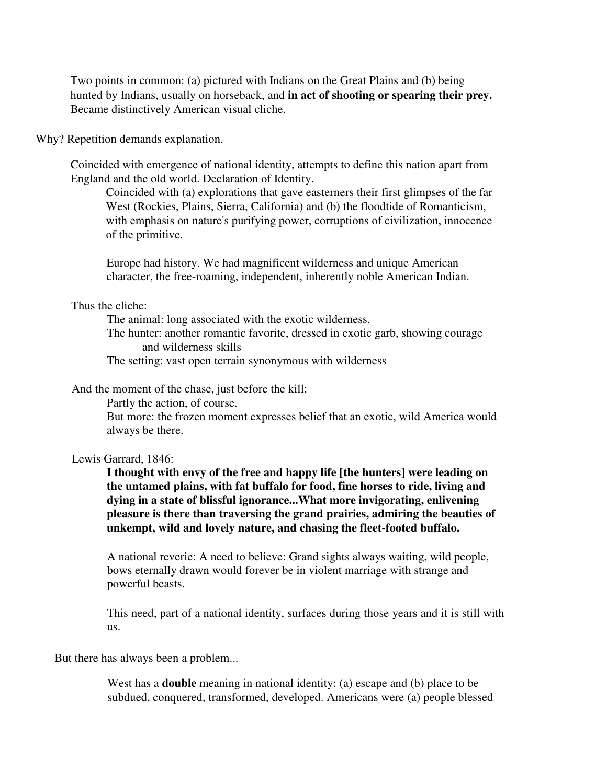Two points in common: (a) pictured with Indians on the Great Plains and (b) being hunted by Indians, usually on horseback, and **in act of shooting or spearing their prey.** Became distinctively American visual cliche.

Why? Repetition demands explanation.

Coincided with emergence of national identity, attempts to define this nation apart from England and the old world. Declaration of Identity.

Coincided with (a) explorations that gave easterners their first glimpses of the far West (Rockies, Plains, Sierra, California) and (b) the floodtide of Romanticism, with emphasis on nature's purifying power, corruptions of civilization, innocence of the primitive.

Europe had history. We had magnificent wilderness and unique American character, the free-roaming, independent, inherently noble American Indian.

Thus the cliche:

The animal: long associated with the exotic wilderness.

The hunter: another romantic favorite, dressed in exotic garb, showing courage and wilderness skills

The setting: vast open terrain synonymous with wilderness

And the moment of the chase, just before the kill:

Partly the action, of course.

But more: the frozen moment expresses belief that an exotic, wild America would always be there.

## Lewis Garrard, 1846:

**I thought with envy of the free and happy life [the hunters] were leading on the untamed plains, with fat buffalo for food, fine horses to ride, living and dying in a state of blissful ignorance...What more invigorating, enlivening pleasure is there than traversing the grand prairies, admiring the beauties of unkempt, wild and lovely nature, and chasing the fleet-footed buffalo.**

A national reverie: A need to believe: Grand sights always waiting, wild people, bows eternally drawn would forever be in violent marriage with strange and powerful beasts.

This need, part of a national identity, surfaces during those years and it is still with us.

But there has always been a problem...

West has a **double** meaning in national identity: (a) escape and (b) place to be subdued, conquered, transformed, developed. Americans were (a) people blessed